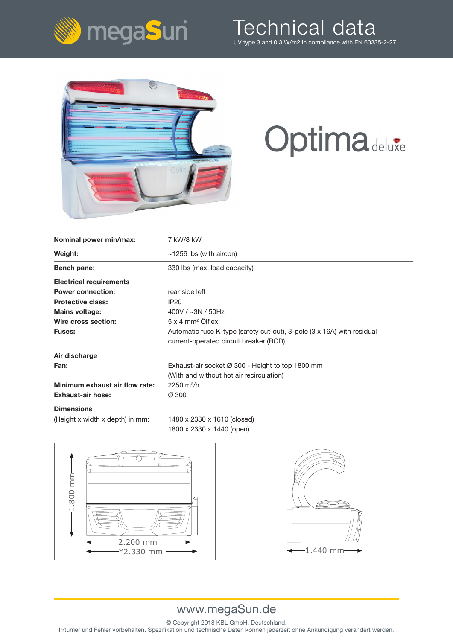

### Technical data UV type 3 and 0.3 W/m2 in compliance with EN 60335-2-27



## **Optima deluxe**

| Nominal power min/max:          | 7 kW/8 kW                                                                                                        |
|---------------------------------|------------------------------------------------------------------------------------------------------------------|
| Weight:                         | $~1256$ lbs (with aircon)                                                                                        |
| Bench pane:                     | 330 lbs (max. load capacity)                                                                                     |
| <b>Electrical requirements</b>  |                                                                                                                  |
| <b>Power connection:</b>        | rear side left                                                                                                   |
| <b>Protective class:</b>        | IP <sub>20</sub>                                                                                                 |
| <b>Mains voltage:</b>           | 400V / $~3N$ / 50Hz                                                                                              |
| Wire cross section:             | $5 \times 4$ mm <sup>2</sup> Ölflex                                                                              |
| <b>Fuses:</b>                   | Automatic fuse K-type (safety cut-out), 3-pole (3 x 16A) with residual<br>current-operated circuit breaker (RCD) |
| Air discharge                   |                                                                                                                  |
| Fan:                            | Exhaust-air socket Ø 300 - Height to top 1800 mm                                                                 |
|                                 | (With and without hot air recirculation)                                                                         |
| Minimum exhaust air flow rate:  | $2250 \text{ m}^3/\text{h}$                                                                                      |
| Exhaust-air hose:               | Ø 300                                                                                                            |
| <b>Dimensions</b>               |                                                                                                                  |
| (Height x width x depth) in mm: | 1480 x 2330 x 1610 (closed)                                                                                      |

1800 x 2330 x 1440 (open)





#### www.megaSun.de

© Copyright 2018 KBL GmbH, Deutschland.

Irrtümer und Fehler vorbehalten. Spezifikation und technische Daten können jederzeit ohne Ankündigung verändert werden.